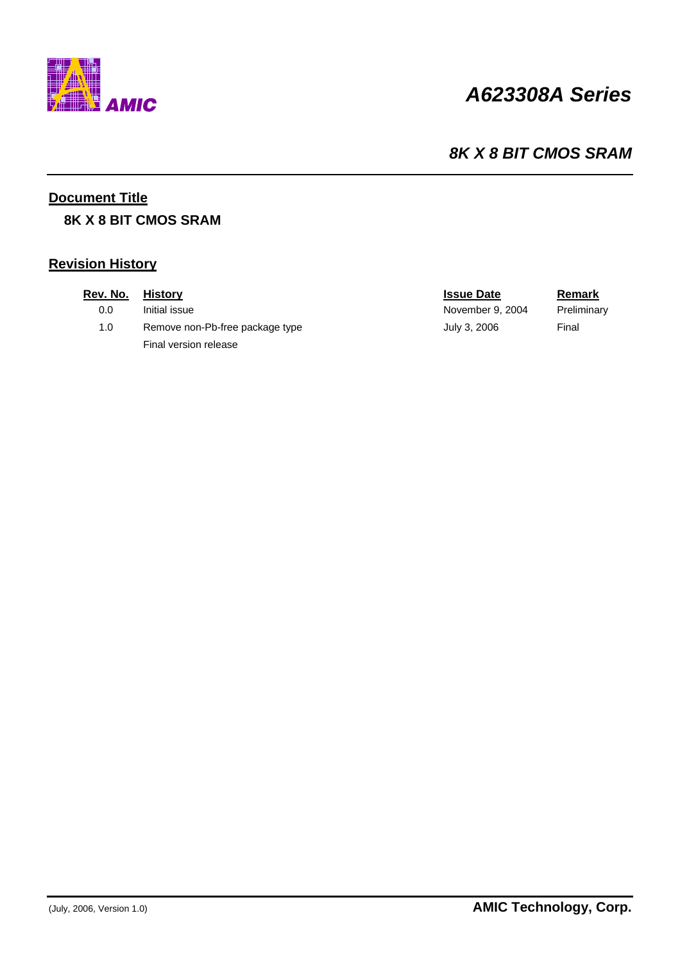

# *A623308A Series*

### *8K X 8 BIT CMOS SRAM*

### **Document Title**

### **8K X 8 BIT CMOS SRAM**

### **Revision History**

| Rev. No. | <b>History</b>                  | <b>Issue Date</b> | Remark      |
|----------|---------------------------------|-------------------|-------------|
| 0.0      | Initial issue                   | November 9, 2004  | Preliminary |
| 1.0      | Remove non-Pb-free package type | July 3, 2006      | Final       |
|          | Final version release           |                   |             |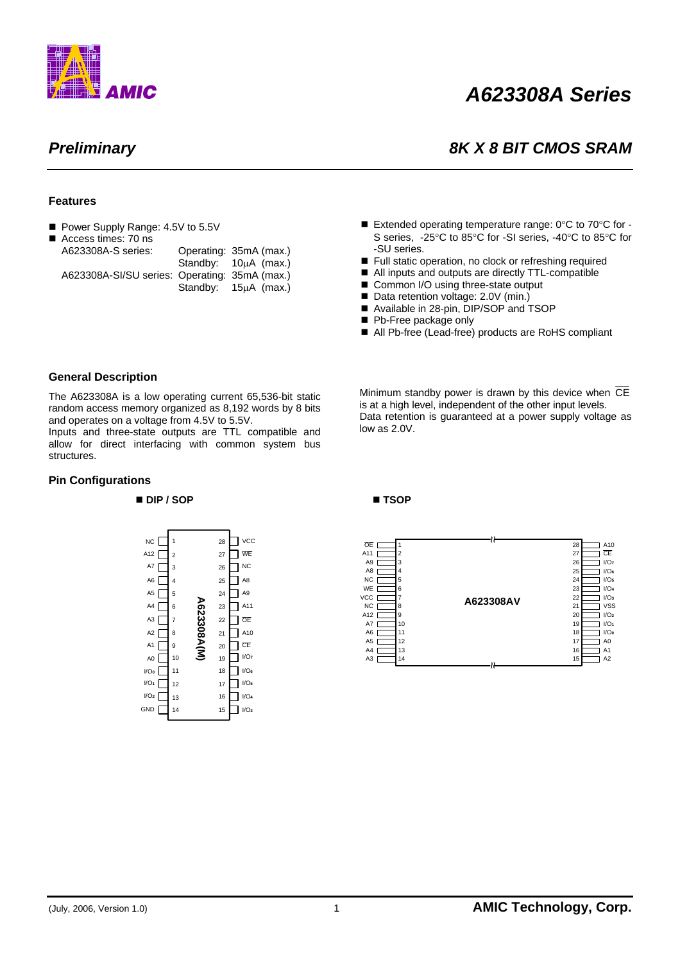

# *A623308A Series*

### *Preliminary 8K X 8 BIT CMOS SRAM*

#### **Features**

■ Power Supply Range: 4.5V to 5.5V

| ■ Access times: 70 ns                         |                        |
|-----------------------------------------------|------------------------|
| A623308A-S series:                            | Operating: 35mA (max.) |
|                                               | Standby: 10uA (max.)   |
| A623308A-SI/SU series: Operating: 35mA (max.) |                        |
|                                               | Standby: 15µA (max.)   |

- Extended operating temperature range:  $0^{\circ}$ C to  $70^{\circ}$ C for -S series, -25°C to 85°C for -SI series, -40°C to 85°C for -SU series.
- Full static operation, no clock or refreshing required
- All inputs and outputs are directly TTL-compatible
- Common I/O using three-state output
- Data retention voltage: 2.0V (min.)
- Available in 28-pin, DIP/SOP and TSOP
- Pb-Free package only
- All Pb-free (Lead-free) products are RoHS compliant

#### **General Description**

The A623308A is a low operating current 65,536-bit static random access memory organized as 8,192 words by 8 bits and operates on a voltage from 4.5V to 5.5V.

Inputs and three-state outputs are TTL compatible and allow for direct interfacing with common system bus structures.

#### **Pin Configurations**

#### **DIP / SOP TSOP**



Minimum standby power is drawn by this device when  $\overline{CE}$ is at a high level, independent of the other input levels. Data retention is guaranteed at a power supply voltage as low as 2.0V.

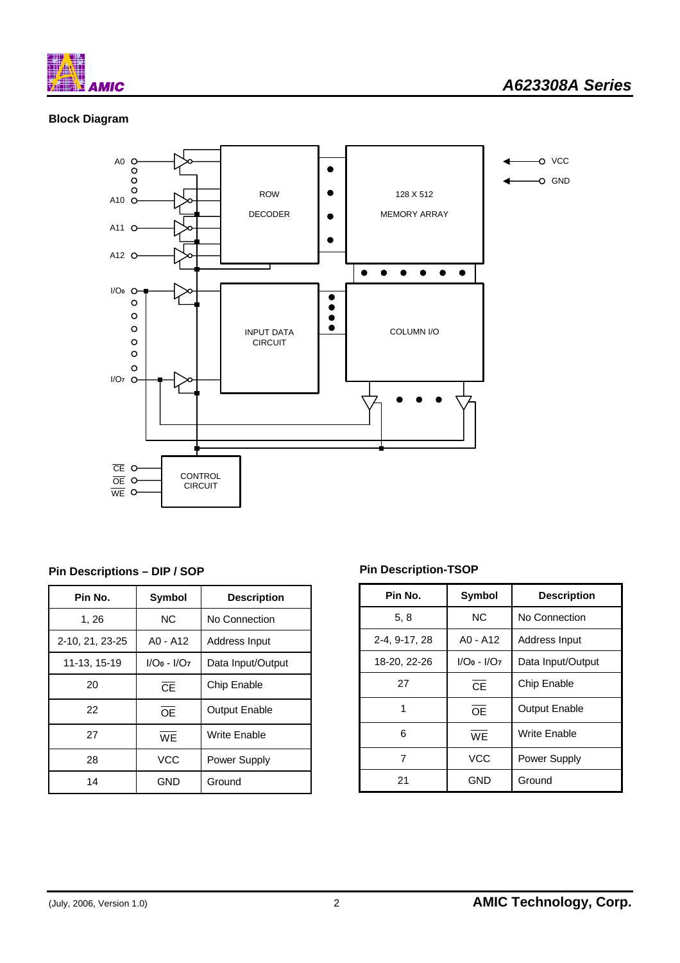

### **Block Diagram**



### **Pin Descriptions – DIP / SOP**

| Pin No.         | <b>Symbol</b> | <b>Description</b>   |
|-----------------|---------------|----------------------|
| 1, 26           | <b>NC</b>     | No Connection        |
| 2-10, 21, 23-25 | A0 - A12      | Address Input        |
| 11-13, 15-19    | $I/O0 - I/O7$ | Data Input/Output    |
| 20              | <b>CF</b>     | Chip Enable          |
| 22              | OF            | <b>Output Enable</b> |
| 27              | WF            | Write Enable         |
| 28              | <b>VCC</b>    | Power Supply         |
| 14              | GND           | Ground               |

### **Pin Description-TSOP**

| Pin No.       | <b>Symbol</b> | <b>Description</b>   |
|---------------|---------------|----------------------|
| 5, 8          | <b>NC</b>     | No Connection        |
| 2-4, 9-17, 28 | A0 - A12      | Address Input        |
| 18-20, 22-26  | $I/O0 - I/O7$ | Data Input/Output    |
| 27            | CE            | Chip Enable          |
| 1             | <b>OF</b>     | <b>Output Enable</b> |
| 6             | <b>WF</b>     | Write Enable         |
| 7             | <b>VCC</b>    | Power Supply         |
| 21            | GND           | Ground               |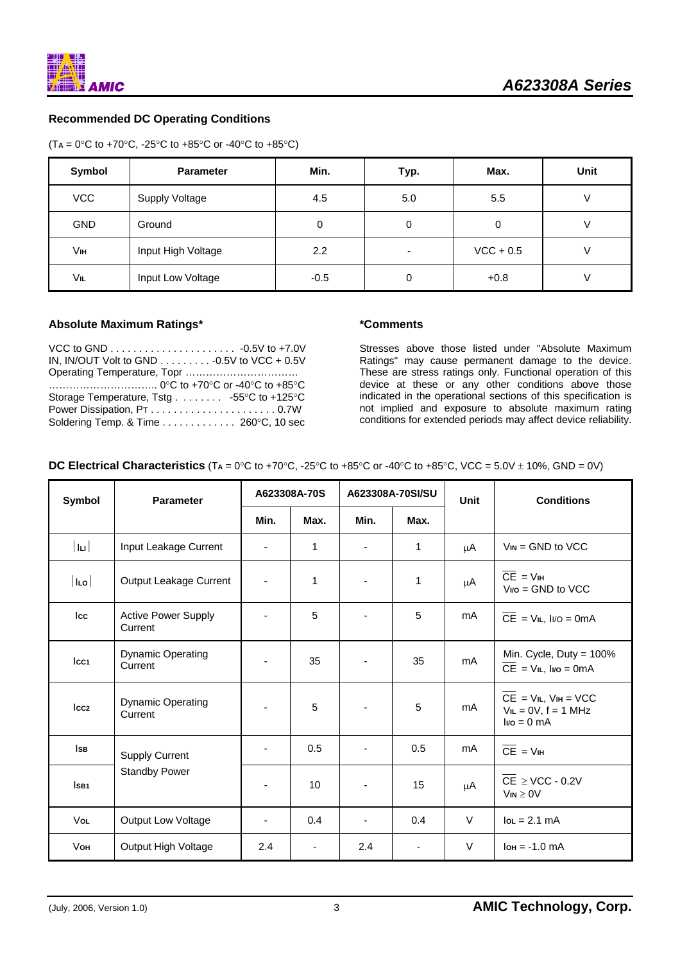### **Recommended DC Operating Conditions**

| $(T_A = 0^{\circ}C$ to +70°C, -25°C to +85°C or -40°C to +85°C) |  |  |
|-----------------------------------------------------------------|--|--|
|-----------------------------------------------------------------|--|--|

| Symbol     | <b>Parameter</b>      | Min.   | Typ. | Max.        | <b>Unit</b> |
|------------|-----------------------|--------|------|-------------|-------------|
| <b>VCC</b> | <b>Supply Voltage</b> | 4.5    | 5.0  | 5.5         |             |
| <b>GND</b> | Ground                | 0      | 0    | 0           |             |
| Vш         | Input High Voltage    | 2.2    |      | $VCC + 0.5$ |             |
| VIL        | Input Low Voltage     | $-0.5$ | 0    | $+0.8$      |             |

#### **Absolute Maximum Ratings\***

| VCC to GND $\ldots \ldots \ldots \ldots \ldots \ldots \ldots \ldots$ -0.5V to +7.0V |  |
|-------------------------------------------------------------------------------------|--|
| IN, IN/OUT Volt to GND $\ldots \ldots \ldots \ldots$ -0.5V to VCC + 0.5V            |  |
|                                                                                     |  |
|                                                                                     |  |
| Storage Temperature, Tstg 55°C to +125°C                                            |  |
|                                                                                     |  |
| Soldering Temp. & Time 260°C, 10 sec                                                |  |

#### **\*Comments**

Stresses above those listed under "Absolute Maximum Ratings" may cause permanent damage to the device. These are stress ratings only. Functional operation of this device at these or any other conditions above those indicated in the operational sections of this specification is not implied and exposure to absolute maximum rating conditions for extended periods may affect device reliability.

**DC Electrical Characteristics** (T**A** = 0°C to +70°C, -25°C to +85°C or -40°C to +85°C, VCC = 5.0V ± 10%, GND = 0V)

| Symbol           | <b>Parameter</b>                      |      | A623308A-70S | A623308A-70SI/SU |              | Unit    | <b>Conditions</b>                                                                     |
|------------------|---------------------------------------|------|--------------|------------------|--------------|---------|---------------------------------------------------------------------------------------|
|                  |                                       | Min. | Max.         | Min.             | Max.         |         |                                                                                       |
| $ I_{\rm II} $   | Input Leakage Current                 | Ξ.   | 1            |                  | 1            | μA      | $V_{IN}$ = GND to VCC                                                                 |
| $ I_{LO} $       | Output Leakage Current                |      | 1            |                  | $\mathbf{1}$ | μA      | $CE = VIH$<br>$V_{\text{NO}} =$ GND to VCC                                            |
| Icc              | <b>Active Power Supply</b><br>Current |      | 5            |                  | 5            | mA      | $\overline{CE}$ = V <sub>IL</sub> , I <sub>I/O</sub> = 0mA                            |
| Icc <sub>1</sub> | <b>Dynamic Operating</b><br>Current   |      | 35           | ÷,               | 35           | mA      | Min. Cycle, Duty = 100%<br>$\overline{CE}$ = V <sub>IL</sub> , I <sub>I/O</sub> = 0mA |
| Icc <sub>2</sub> | <b>Dynamic Operating</b><br>Current   |      | 5            |                  | 5            | mA      | $CE = VIL$ , $VIH = VCC$<br>$VIL = OV, f = 1 MHz$<br>$Ivo = 0 mA$                     |
| ls B             | <b>Supply Current</b>                 |      | 0.5          |                  | 0.5          | mA      | $\overline{CE}$ = $VIH$                                                               |
| ISB <sub>1</sub> | <b>Standby Power</b>                  |      | 10           | ٠                | 15           | $\mu$ A | $\overline{\text{CE}}$ $\geq$ VCC - 0.2V<br>$V_{IN} \geq 0V$                          |
| Vol              | Output Low Voltage                    |      | 0.4          |                  | 0.4          | $\vee$  | $I$ o<br>$L = 2.1$ mA                                                                 |
| <b>V</b> он      | Output High Voltage                   | 2.4  |              | 2.4              |              | V       | $I$ он = -1.0 mA                                                                      |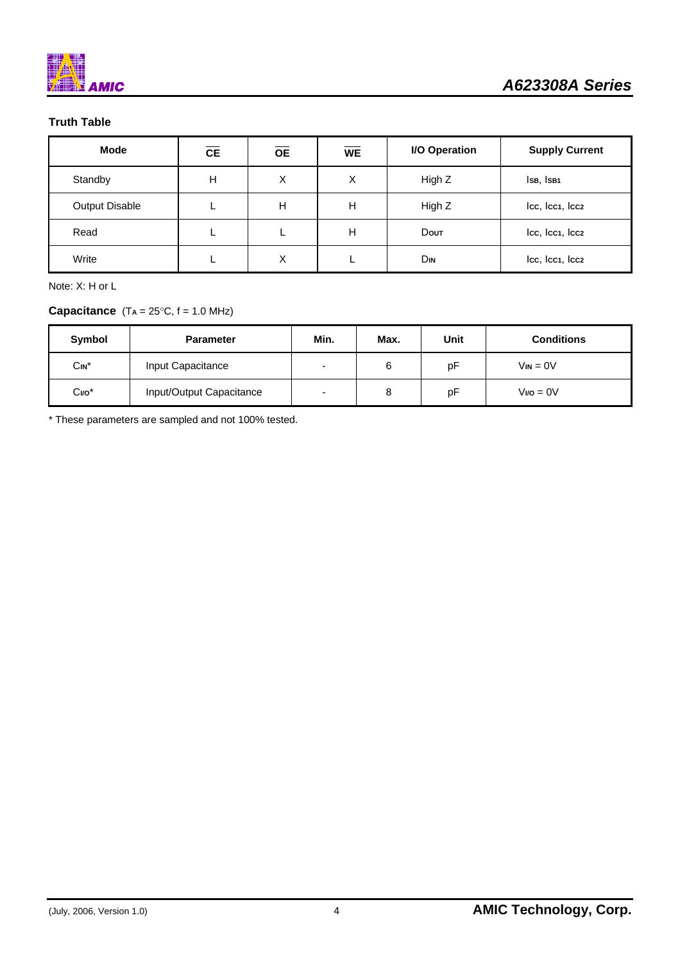

### **Truth Table**

| <b>Mode</b>           | <b>CE</b> | <b>OE</b> | <b>WE</b> | I/O Operation | <b>Supply Current</b> |
|-----------------------|-----------|-----------|-----------|---------------|-----------------------|
| Standby               | Н         | X         | X         | High Z        | ISB, ISB1             |
| <b>Output Disable</b> |           | н         | н         | High Z        | Icc, Icc1, Icc2       |
| Read                  |           |           | н         | <b>Dout</b>   | Icc, Icc1, Icc2       |
| Write                 |           | Χ         |           | Din           | Icc, Icc1, Icc2       |

Note: X: H or L

### **Capacitance**  $(T_A = 25^{\circ}C, f = 1.0 \text{ MHz})$

| Symbol   | <b>Parameter</b>         | Min.                     | Max. | Unit | <b>Conditions</b> |
|----------|--------------------------|--------------------------|------|------|-------------------|
| $Cin^*$  | Input Capacitance        | $\overline{\phantom{0}}$ | 6    | рF   | $V_{IN} = 0V$     |
| $CI/O$ * | Input/Output Capacitance | $\overline{\phantom{0}}$ | 8    | рF   | $Vvo = 0V$        |

\* These parameters are sampled and not 100% tested.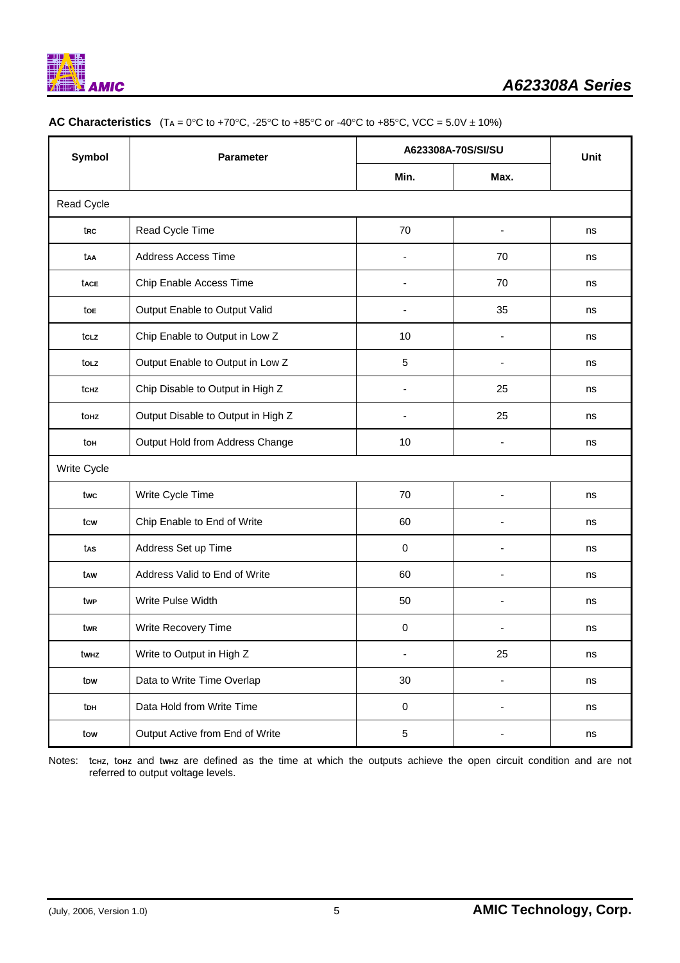

| <b>Symbol</b> | <b>Parameter</b>                   |                          | A623308A-70S/SI/SU | <b>Unit</b> |  |
|---------------|------------------------------------|--------------------------|--------------------|-------------|--|
|               |                                    | Min.                     | Max.               |             |  |
| Read Cycle    |                                    |                          |                    |             |  |
| trc           | Read Cycle Time                    | 70                       | $\blacksquare$     | ns          |  |
| taa           | <b>Address Access Time</b>         |                          | 70                 | ns          |  |
| tace          | Chip Enable Access Time            | $\overline{\phantom{a}}$ | 70                 | ns          |  |
| toe           | Output Enable to Output Valid      | $\blacksquare$           | 35                 | ns          |  |
| tcLz          | Chip Enable to Output in Low Z     | 10                       |                    | ns          |  |
| tolz          | Output Enable to Output in Low Z   | 5                        |                    | ns          |  |
| tchz          | Chip Disable to Output in High Z   |                          | 25                 | ns          |  |
| touz          | Output Disable to Output in High Z |                          | 25                 | ns          |  |
| toн           | Output Hold from Address Change    | 10                       |                    | ns          |  |
| Write Cycle   |                                    |                          |                    |             |  |
| twc           | Write Cycle Time                   | 70                       |                    | ns          |  |
| tcw           | Chip Enable to End of Write        | 60                       |                    | ns          |  |
| tas           | Address Set up Time                | 0                        |                    | ns          |  |
| taw           | Address Valid to End of Write      | 60                       |                    | ns          |  |
| twp           | Write Pulse Width                  | 50                       |                    | ns          |  |
| twr           | Write Recovery Time                | 0                        |                    | ns          |  |
| twнz          | Write to Output in High Z          |                          | 25                 | ns          |  |
| tow           | Data to Write Time Overlap         | 30                       |                    | ns          |  |
| toh           | Data Hold from Write Time          | $\pmb{0}$                |                    | ns          |  |
| tow           | Output Active from End of Write    | $\sqrt{5}$               |                    | ns          |  |

#### **AC Characteristics**  $(T_A = 0^\circ C \text{ to } +70^\circ C, -25^\circ C \text{ to } +85^\circ C \text{ or } -40^\circ C \text{ to } +85^\circ C, \text{ VCC} = 5.0 \text{V} \pm 10\%)$

Notes: tchz, tohz and twhz are defined as the time at which the outputs achieve the open circuit condition and are not referred to output voltage levels.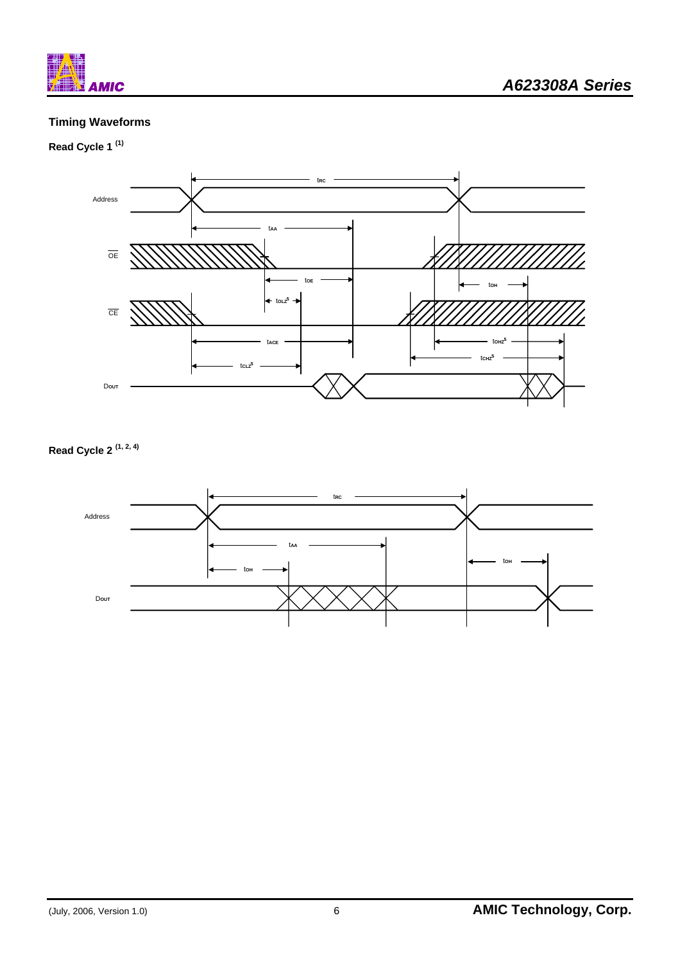

### **Timing Waveforms**

### **Read Cycle 1 (1)**



## **Read Cycle 2 (1, 2, 4)**

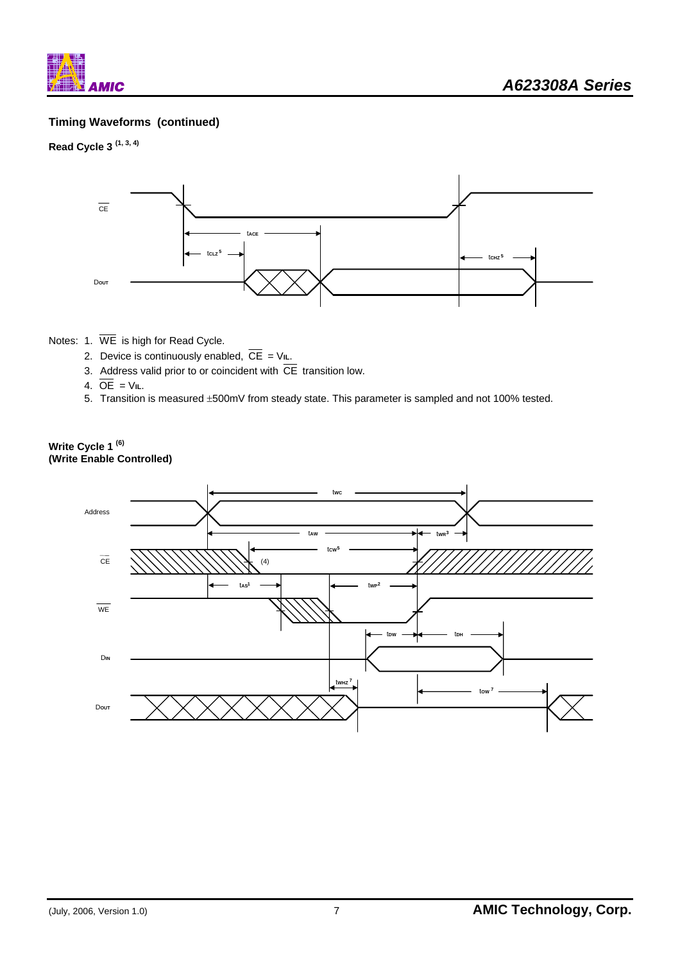

### **Timing Waveforms (continued)**

### **Read Cycle 3 (1, 3, 4)**



#### Notes: 1. WE is high for Read Cycle.

- 2. Device is continuously enabled,  $\overline{CE} = V_{IL}$ .
- 3. Address valid prior to or coincident with  $\overline{\text{CE}}$  transition low.
- 4.  $\overline{OE}$  =  $V_{IL}$ .
- 5. Transition is measured ±500mV from steady state. This parameter is sampled and not 100% tested.

#### **Write Cycle 1 (6) (Write Enable Controlled)**

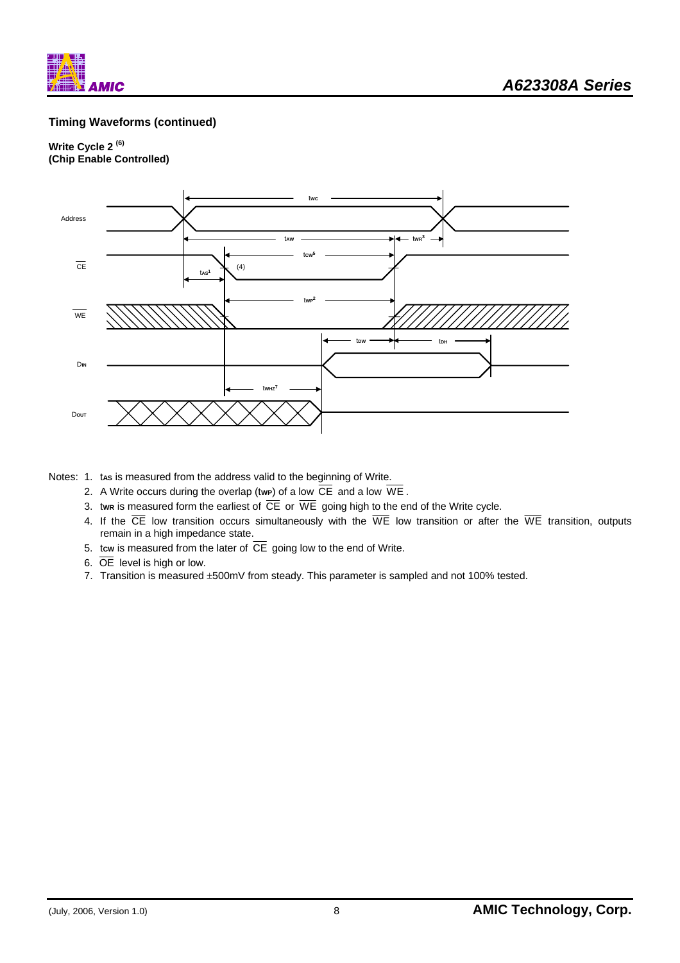

### **Timing Waveforms (continued)**

#### **Write Cycle 2 (6) (Chip Enable Controlled)**



Notes: 1. tas is measured from the address valid to the beginning of Write.

- 2. A Write occurs during the overlap (twp) of a low  $\overline{CE}$  and a low  $\overline{WE}$ .
- 3. twn is measured form the earliest of  $\overline{\text{CE}}$  or  $\overline{\text{WE}}$  going high to the end of the Write cycle.
- 4. If the  $\overline{CE}$  low transition occurs simultaneously with the  $\overline{WE}$  low transition or after the  $\overline{WE}$  transition, outputs remain in a high impedance state.
- 5. tow is measured from the later of  $\overline{CE}$  going low to the end of Write.
- 6. OE level is high or low.
- 7. Transition is measured ±500mV from steady. This parameter is sampled and not 100% tested.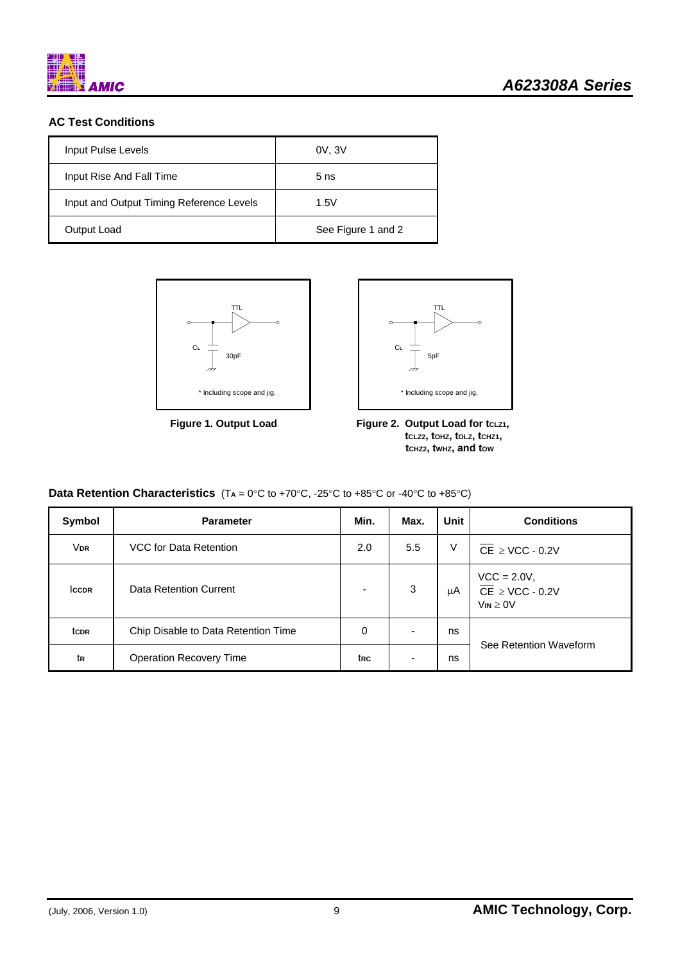

### **AC Test Conditions**

| Input Pulse Levels                       | 0V, 3V             |
|------------------------------------------|--------------------|
| Input Rise And Fall Time                 | 5 <sub>ns</sub>    |
| Input and Output Timing Reference Levels | 1.5V               |
| Output Load                              | See Figure 1 and 2 |





Figure 1. Output Load Figure 2. Output Load for tcLz1,  **tCLZ2, tOHZ, tOLZ, tCHZ1, tCHZ2, tWHZ, and tOW** 

| <b>Data Retention Characteristics</b> $(T_A = 0^{\circ}C$ to +70 $^{\circ}C$ , -25 $^{\circ}C$ to +85 $^{\circ}C$ or -40 $^{\circ}C$ to +85 $^{\circ}C$ ) |  |
|-----------------------------------------------------------------------------------------------------------------------------------------------------------|--|
|-----------------------------------------------------------------------------------------------------------------------------------------------------------|--|

| Symbol                 | <b>Parameter</b>                    | Min.                     | Max.                     | Unit | <b>Conditions</b>                                                      |  |  |
|------------------------|-------------------------------------|--------------------------|--------------------------|------|------------------------------------------------------------------------|--|--|
| <b>V</b> <sub>DR</sub> | VCC for Data Retention              | 2.0                      | 5.5                      | V    | $\overline{\text{CE}}$ $\geq$ VCC - 0.2V                               |  |  |
| <b>ICCDR</b>           | Data Retention Current              | $\overline{\phantom{0}}$ | 3                        | μA   | $VCC = 2.0V,$<br>$\overline{CE}$ $\geq$ VCC - 0.2V<br>$V_{IN} \geq 0V$ |  |  |
| tc <sub>DR</sub>       | Chip Disable to Data Retention Time | 0                        | $\overline{\phantom{0}}$ | ns   |                                                                        |  |  |
| tr                     | <b>Operation Recovery Time</b>      | trc                      | -                        | ns   | See Retention Waveform                                                 |  |  |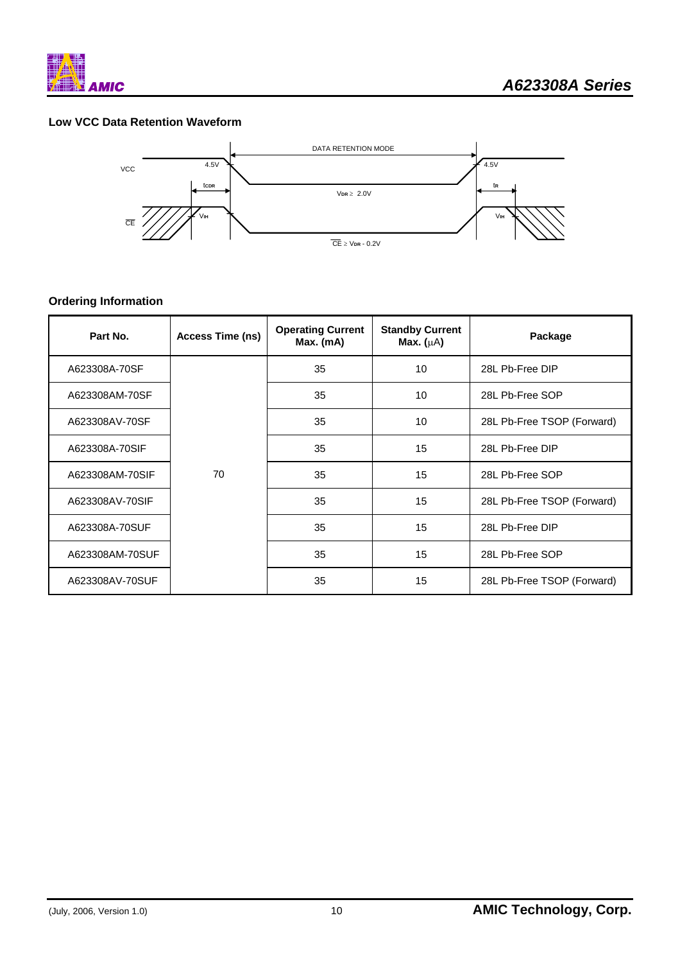

### **Low VCC Data Retention Waveform**



### **Ordering Information**

| Part No.        | Access Time (ns) | <b>Operating Current</b><br>Max. (mA) | <b>Standby Current</b><br>Max. $(\mu A)$ | Package                    |  |
|-----------------|------------------|---------------------------------------|------------------------------------------|----------------------------|--|
| A623308A-70SF   |                  | 35                                    | 10                                       | 28L Pb-Free DIP            |  |
| A623308AM-70SF  |                  | 35                                    | 10                                       | 28L Pb-Free SOP            |  |
| A623308AV-70SF  |                  | 35                                    | 10                                       | 28L Pb-Free TSOP (Forward) |  |
| A623308A-70SIF  |                  | 35                                    | 15                                       | 28L Pb-Free DIP            |  |
| A623308AM-70SIF | 70               | 35                                    | 15                                       | 28L Pb-Free SOP            |  |
| A623308AV-70SIF |                  | 35                                    | 15                                       | 28L Pb-Free TSOP (Forward) |  |
| A623308A-70SUF  |                  | 35                                    | 15                                       | 28L Pb-Free DIP            |  |
| A623308AM-70SUF |                  | 35                                    | 15                                       | 28L Pb-Free SOP            |  |
| A623308AV-70SUF |                  | 35                                    | 15                                       | 28L Pb-Free TSOP (Forward) |  |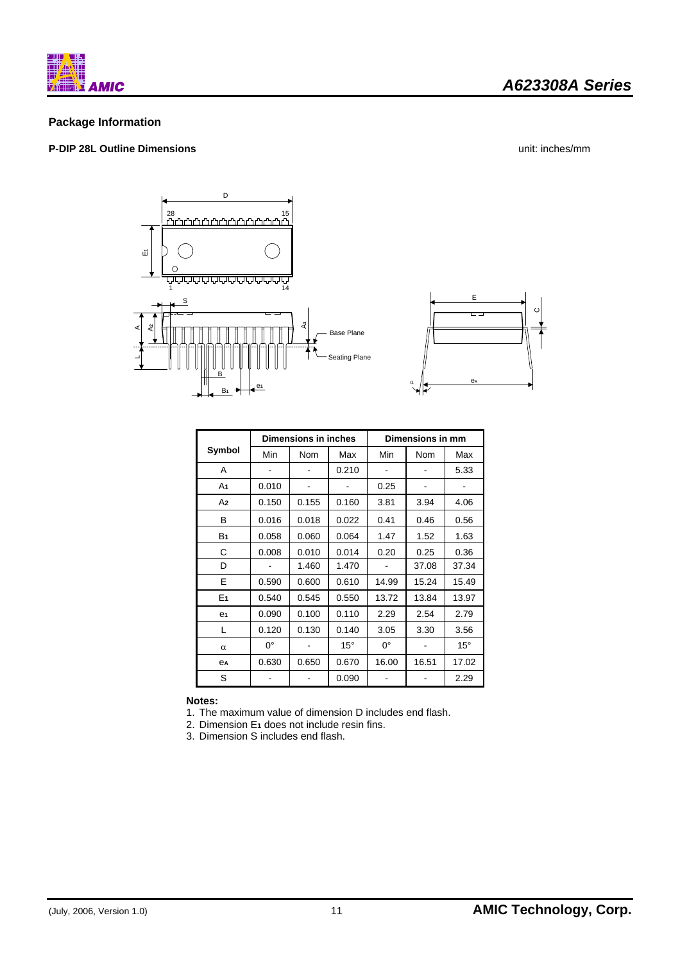

### *A623308A Series*

### **Package Information**

### **P-DIP 28L Outline Dimensions** unit: inches/mm



|                | Dimensions in inches |       |              | Dimensions in mm |       |              |  |
|----------------|----------------------|-------|--------------|------------------|-------|--------------|--|
| Symbol         | Min                  | Nom   | Max          | Min              | Nom   | Max          |  |
| A              |                      |       | 0.210        |                  |       | 5.33         |  |
| A1             | 0.010                |       |              | 0.25             |       |              |  |
| A2             | 0.150                | 0.155 | 0.160        | 3.81             | 3.94  | 4.06         |  |
| в              | 0.016                | 0.018 | 0.022        | 0.41             | 0.46  | 0.56         |  |
| B <sub>1</sub> | 0.058                | 0.060 | 0.064        | 1.47             | 1.52  | 1.63         |  |
| С              | 0.008                | 0.010 | 0.014        | 0.20             | 0.25  | 0.36         |  |
| D              |                      | 1.460 | 1.470        |                  | 37.08 | 37.34        |  |
| E              | 0.590                | 0.600 | 0.610        | 14.99            | 15.24 | 15.49        |  |
| E <sub>1</sub> | 0.540                | 0.545 | 0.550        | 13.72            | 13.84 | 13.97        |  |
| e <sub>1</sub> | 0.090                | 0.100 | 0.110        | 2.29             | 2.54  | 2.79         |  |
| L              | 0.120                | 0.130 | 0.140        | 3.05             | 3.30  | 3.56         |  |
| α              | 0°                   |       | $15^{\circ}$ | $0^{\circ}$      |       | $15^{\circ}$ |  |
| ea             | 0.630                | 0.650 | 0.670        | 16.00            | 16.51 | 17.02        |  |
| S              |                      |       | 0.090        |                  |       | 2.29         |  |

**Notes:** 

1. The maximum value of dimension D includes end flash.

2. Dimension E**1** does not include resin fins.

3. Dimension S includes end flash.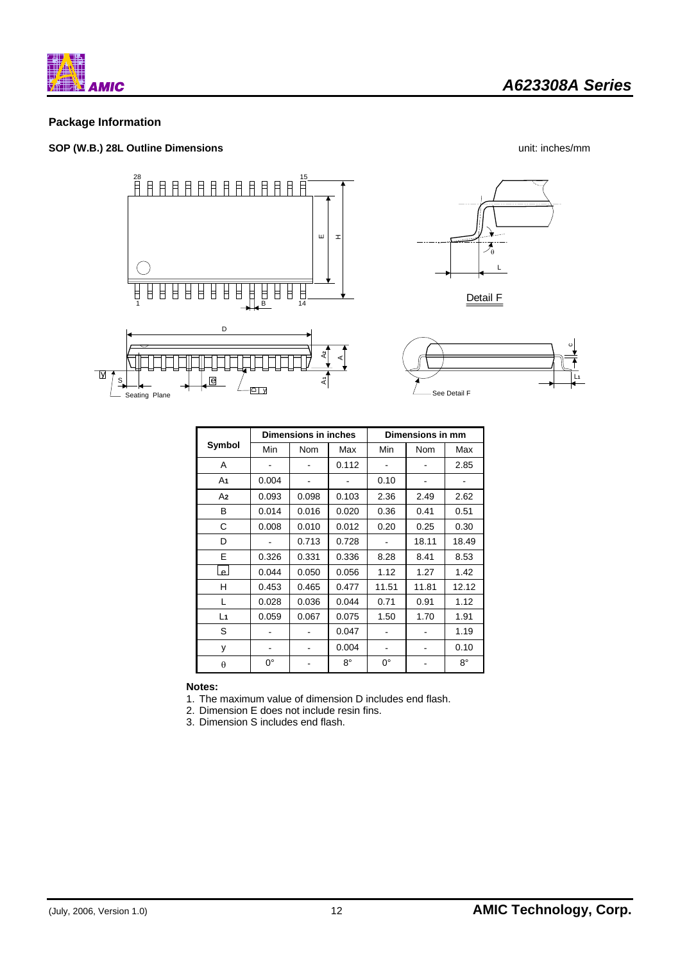

### **Package Information**

### **SOP (W.B.) 28L Outline Dimensions** unit: inches/mm







|          | <b>Dimensions in inches</b> |       |       | Dimensions in mm |       |       |  |
|----------|-----------------------------|-------|-------|------------------|-------|-------|--|
| Symbol   | Min                         | Nom   | Max   | Min              | Nom   | Max   |  |
| A        |                             |       | 0.112 |                  |       | 2.85  |  |
| A1       | 0.004                       |       |       | 0.10             |       |       |  |
| A2       | 0.093                       | 0.098 | 0.103 | 2.36             | 2.49  | 2.62  |  |
| в        | 0.014                       | 0.016 | 0.020 | 0.36             | 0.41  | 0.51  |  |
| C        | 0.008                       | 0.010 | 0.012 | 0.20             | 0.25  | 0.30  |  |
| D        |                             | 0.713 | 0.728 |                  | 18.11 | 18.49 |  |
| E        | 0.326                       | 0.331 | 0.336 | 8.28             | 8.41  | 8.53  |  |
| لعا      | 0.044                       | 0.050 | 0.056 | 1.12             | 1.27  | 1.42  |  |
| н        | 0.453                       | 0.465 | 0.477 | 11.51            | 11.81 | 12.12 |  |
| L        | 0.028                       | 0.036 | 0.044 | 0.71             | 0.91  | 1.12  |  |
| L1       | 0.059                       | 0.067 | 0.075 | 1.50             | 1.70  | 1.91  |  |
| S        |                             |       | 0.047 |                  |       | 1.19  |  |
| у        |                             |       | 0.004 |                  |       | 0.10  |  |
| $\theta$ | 0°                          |       | 8°    | $0^{\circ}$      |       | 8°    |  |

**Notes:** 

1. The maximum value of dimension D includes end flash.

2. Dimension E does not include resin fins.

3. Dimension S includes end flash.